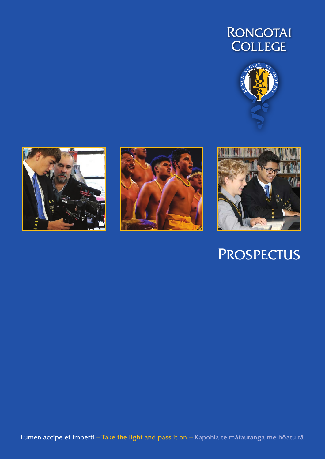## **RONGOTAI** COLLEGE









# **PROSPECTUS**

Lumen accipe et imperti - Take the light and pass it on - Kapohia te mātauranga me hōatu rā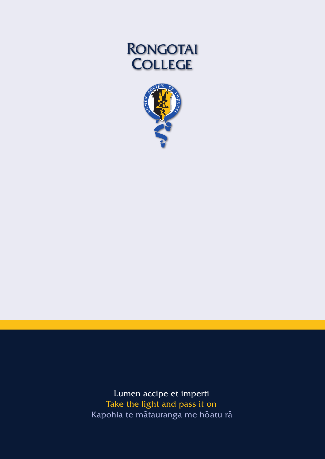# **RONGOTAI COLLEGE**



Lumen accipe et imperti Take the light and pass it on Kapohia te matauranga me hoatu ra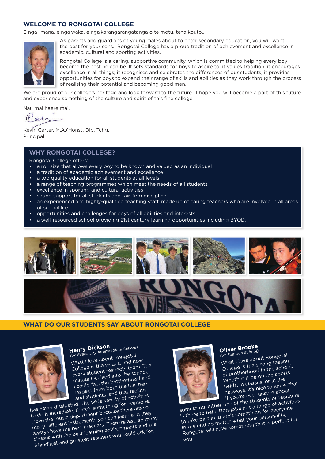#### **WELCOME TO RONGOTAI COLLEGE**

E nga- mana, e ngā waka, e ngā karangarangatanga o te motu, tēna koutou



As parents and guardians of young males about to enter secondary education, you will want the best for your sons. Rongotai College has a proud tradition of achievement and excellence in academic, cultural and sporting activities.

Rongotai College is a caring, supportive community, which is committed to helping every boy become the best he can be. It sets standards for boys to aspire to; it values tradition; it encourages excellence in all things; it recognises and celebrates the differences of our students; it provides opportunities for boys to expand their range of skills and abilities as they work through the process of realising their potential and becoming good men.

We are proud of our college's heritage and look forward to the future. I hope you will become a part of this future and experience something of the culture and spirit of this fine college.

Nau mai haere mai.

(Neur

Kevin Carter, M.A.(Hons), Dip. Tchg. Principal

#### **WHY RONGOTAI COLLEGE?**

Rongotai College offers:

- a roll size that allows every boy to be known and valued as an individual
- a tradition of academic achievement and excellence
- a top quality education for all students at all levels
- a range of teaching programmes which meet the needs of all students
- excellence in sporting and cultural activities
- sound support for all students and fair, firm discipline
- an experienced and highly-qualified teaching staff, made up of caring teachers who are involved in all areas of school life
- opportunities and challenges for boys of all abilities and interests
- a well-resourced school providing 21st century learning opportunities including BYOD.



#### **WHAT DO OUR STUDENTS SAY ABOUT RONGOTAI COLLEGE**



**Henry Dickson** *(ex-Evans Bay Intermediate School)*

What I love about Rongotai College is the values, and how every student respects them. The minute I walked into the school, I could feel the brotherhood and respect from both the teachers and students, and that feeling and sequence, and add not boing

to do is incredible, there's something for everyone. I love the music department because there are so many different instruments you can learn and they always have the best teachers. There're also so many classes with the best learning environments and the friendliest and greatest teachers you could ask for.



### **Oliver Brooke** *(ex-Seatoun School)*

What I love about Rongotai College is the strong feeling of brotherhood in the school. Whether it be on the sports fields, in classes, or in the hallways, it's nice to know that if you're ever unsure about

something, either one of the students or teachers sometimis, citier one or the stations or teachers.<br>is there to help. Rongotai has a range of activities to take part in, there's something for everyone. In the end no matter what your personality, The end to the continue your personality, the end of the something that is perfect for

you.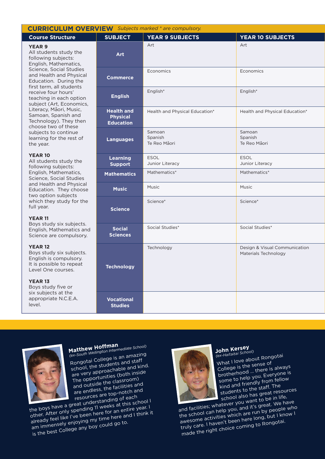#### **CURRICULUM OVERV** *Subjects marked \* are compulsory.*

#### **YEAR 9**

#### **YEAR 10**

#### **YEAR 11**

#### **YEAR 12**

#### **YEAR 13**

| <b>Course Structure</b>                                                                                                                                                                                                                                                                                                                                                                                                                              | <b>SUBJECT</b>                                           | <b>YEAR 9 SUBJECTS</b>            | <b>YEAR 10 SUBJECTS</b>                               |
|------------------------------------------------------------------------------------------------------------------------------------------------------------------------------------------------------------------------------------------------------------------------------------------------------------------------------------------------------------------------------------------------------------------------------------------------------|----------------------------------------------------------|-----------------------------------|-------------------------------------------------------|
| <b>YEAR 9</b><br>All students study the<br>following subjects:<br>English, Mathematics,<br>Science, Social Studies<br>and Health and Physical<br>Education. During the<br>first term, all students<br>receive four hours'<br>teaching in each option<br>subject (Art, Economics,<br>Literacy, Māori, Music,<br>Samoan, Spanish and<br>Technology). They then<br>choose two of these<br>subjects to continue<br>learning for the rest of<br>the year. | Art                                                      | Art                               | Art                                                   |
|                                                                                                                                                                                                                                                                                                                                                                                                                                                      | <b>Commerce</b>                                          | Economics                         | Economics                                             |
|                                                                                                                                                                                                                                                                                                                                                                                                                                                      | <b>English</b>                                           | English*                          | English*                                              |
|                                                                                                                                                                                                                                                                                                                                                                                                                                                      | <b>Health and</b><br><b>Physical</b><br><b>Education</b> | Health and Physical Education*    | Health and Physical Education*                        |
|                                                                                                                                                                                                                                                                                                                                                                                                                                                      | <b>Languages</b>                                         | Samoan<br>Spanish<br>Te Reo Māori | Samoan<br>Spanish<br>Te Reo Māori                     |
| <b>YEAR 10</b><br>All students study the<br>following subjects:<br>English, Mathematics,<br>Science, Social Studies<br>and Health and Physical<br>Education. They choose<br>two option subjects<br>which they study for the<br>full year.<br><b>YEAR 11</b><br>Boys study six subjects.<br>English, Mathematics and<br>Science are compulsory.                                                                                                       | <b>Learning</b><br><b>Support</b>                        | ESOL<br>Junior Literacy           | ESOL<br>Junior Literacy                               |
|                                                                                                                                                                                                                                                                                                                                                                                                                                                      | <b>Mathematics</b>                                       | Mathematics*                      | Mathematics*                                          |
|                                                                                                                                                                                                                                                                                                                                                                                                                                                      | <b>Music</b>                                             | Music                             | Music                                                 |
|                                                                                                                                                                                                                                                                                                                                                                                                                                                      | <b>Science</b>                                           | Science*                          | Science*                                              |
|                                                                                                                                                                                                                                                                                                                                                                                                                                                      | <b>Social</b><br><b>Sciences</b>                         | Social Studies*                   | Social Studies*                                       |
| <b>YEAR 12</b><br>Boys study six subjects.<br>English is compulsory.<br>It is possible to repeat<br>Level One courses.                                                                                                                                                                                                                                                                                                                               | <b>Technology</b>                                        | Technology                        | Design & Visual Communication<br>Materials Technology |
| <b>YEAR 13</b><br>Boys study five or                                                                                                                                                                                                                                                                                                                                                                                                                 |                                                          |                                   |                                                       |
| six subjects at the<br>appropriate N.C.E.A.<br>level.                                                                                                                                                                                                                                                                                                                                                                                                | <b>Vocational</b><br><b>Studies</b>                      |                                   |                                                       |



**Matthew Hoffman** *(ex-South Wellington Intermediate School)*

Matthew Hoffman<br>(ex-South Wellington Intermediate School)<br>Rongotai College is an amazing school, the students and staff are very approachable and kind. The opportunities (both inside and outside the classroom) are endless, the facilities an<sup>d</sup> resources are top-notch an<sup>d</sup>

the boys have a great understanding of each other. After only spending 11 weeks at this school I weren Arter only sperioning in weeks acting scribbing.<br>already feel like I've been here for an entire year. I am immensely enjoying my time here and I think it is the best College any boy could go to.



### **John Kersey** *(ex-Haitaitai School)*

What I love about Rongotai College is the sense o<sup>f</sup> brotherhood … there is always some to help you. Everyone is kind and friendly from fellow students to the staff. The school also has great resources

and facilities; whatever you want to be in life, the school can help you, and it's great. We have and activities which are run by people who truly care. I haven't been here long, but I know I made the right choice coming to Rongotai.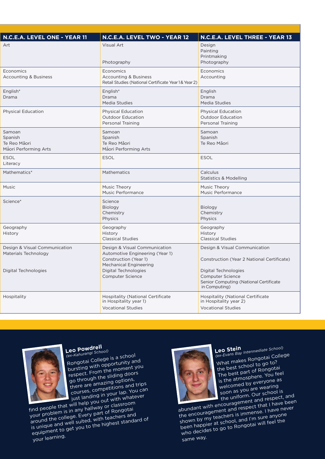| N.C.E.A. LEVEL ONE - YEAR 11                                                  | N.C.E.A. LEVEL TWO - YEAR 12                                                                                                                                                  | N.C.E.A. LEVEL THREE - YEAR 13                                                                                                                                                                   |
|-------------------------------------------------------------------------------|-------------------------------------------------------------------------------------------------------------------------------------------------------------------------------|--------------------------------------------------------------------------------------------------------------------------------------------------------------------------------------------------|
| Art                                                                           | Visual Art<br>Photography                                                                                                                                                     | Design<br>Painting<br>Printmaking<br>Photography                                                                                                                                                 |
| Economics<br><b>Accounting &amp; Business</b>                                 | Economics<br><b>Accounting &amp; Business</b><br>Retail Studies (National Certificate Year 1& Year 2)                                                                         | Economics<br>Accounting                                                                                                                                                                          |
| English*<br>Drama                                                             | English*<br>Drama<br>Media Studies                                                                                                                                            | English<br>Drama<br>Media Studies                                                                                                                                                                |
| <b>Physical Education</b>                                                     | Physical Education<br>Outdoor Education<br>Personal Training                                                                                                                  | <b>Physical Education</b><br>Outdoor Education<br>Personal Training                                                                                                                              |
| Samoan<br>Spanish<br>Te Reo Mãori<br>Māori Performing Arts                    | Samoan<br>Spanish<br>Te Reo Māori<br>Māori Performing Arts                                                                                                                    | Samoan<br>Spanish<br>Te Reo Mãori                                                                                                                                                                |
| <b>ESOL</b><br>Literacy                                                       | <b>ESOL</b>                                                                                                                                                                   | ESOL                                                                                                                                                                                             |
| Mathematics*                                                                  | Mathematics                                                                                                                                                                   | Calculus<br><b>Statistics &amp; Modelling</b>                                                                                                                                                    |
| Music                                                                         | Music Theory<br>Music Performance                                                                                                                                             | Music Theory<br>Music Performance                                                                                                                                                                |
| Science*                                                                      | Science<br>Biology<br>Chemistry<br>Physics                                                                                                                                    | Biology<br>Chemistry<br>Physics                                                                                                                                                                  |
| Geography<br>History                                                          | Geography<br>History<br><b>Classical Studies</b>                                                                                                                              | Geography<br>History<br><b>Classical Studies</b>                                                                                                                                                 |
| Design & Visual Communication<br>Materials Technology<br>Digital Technologies | Design & Visual Communication<br>Automotive Engineering (Year 1)<br>Construction (Year 1)<br><b>Mechanical Engineering</b><br><b>Digital Technologies</b><br>Computer Science | Design & Visual Communication<br>Construction (Year 2 National Certificate)<br><b>Digital Technologies</b><br><b>Computer Science</b><br>Senior Computing (National Certificate<br>in Computing) |
| Hospitality                                                                   | <b>Hospitality (National Certificate</b><br>in Hospitality year 1)<br><b>Vocational Studies</b>                                                                               | <b>Hospitality (National Certificate</b><br>in Hospitality year 2)<br><b>Vocational Studies</b>                                                                                                  |



**Leo Powdrell** *(ex-Kahurangi School)*

Rongotai College is a schoo<sup>l</sup> bursting with opportunity an<sup>d</sup> respect. From the moment you go through the sliding doors there are amazing options, courses, competitions and trips jus<sup>t</sup> landing in your lap. You can find people that will help you out with whatever

This people that will help you out with midte around the college. Every part of Rongotal around the college. Every part of Rongotal is unique and well suited, with teachers and To unique and weir sanced, with teachers and<br>equipment to get you to the highest standard of

your learning.



**Leo Stein** *(ex-Evans Bay Intermediate School)*

What makes Rongotai College the best school to go to? The best part of Rongotai is the atmosphere. You feel welcomed by everyone as soon as you are wearing the uniform. Our schoo<sup>l</sup> is

abundant with encouragement and respect, and the encouragement and respect, and the encouragement and respect that I have been and encouragement and respect that may been<br>shown by my teachers is immense. I have never been happier at school, and I'm sure anyone who decides to go to Rongotai will feel the

same way.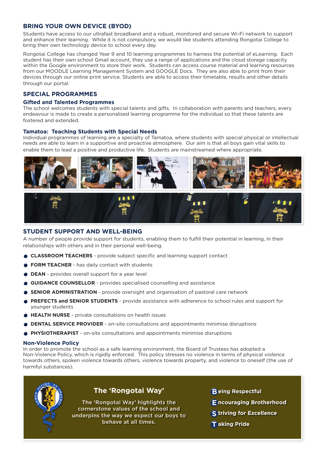#### **BRING YOUR OWN DEVICE (BYOD)**

Students have access to our ultrafast broadband and a robust, monitored and secure Wi-Fi network to support and enhance their learning. While it is not compulsory, we would like students attending Rongotai College to bring their own technology device to school every day.

Rongotai College has changed Year 9 and 10 learning programmes to harness the potential of eLearning. Each student has their own school Gmail account, they use a range of applications and the cloud storage capacity within the Google environment to store their work. Students can access course material and learning resources from our MOODLE Learning Management System and GOOGLE Docs. They are also able to print from their devices through our online print service. Students are able to access their timetable, results and other details through our portal.

#### **SPECIAL PROGRAMMES**

#### **Gifted and Talented Programmes**

The school welcomes students with special talents and gifts. In collaboration with parents and teachers, every endeavour is made to create a personalised learning programme for the individual so that these talents are fostered and extended.

#### **Tamatoa: Teaching Students with Special Needs**

Individual programmes of learning are a specialty of Tamatoa, where students with special physical or intellectual needs are able to learn in a supportive and proactive atmosphere. Our aim is that all boys gain vital skills to enable them to lead a positive and productive life. Students are mainstreamed where appropriate.



#### **STUDENT SUPPORT AND WELL-BEING**

A number of people provide support for students, enabling them to fulfill their potential in learning, in their relationships with others and in their personal well-being.

- **CLASSROOM TEACHERS** provide subject specific and learning support contact
- **FORM TEACHER** has daily contact with students
- **DEAN** provides overall support for a year level
- **GUIDANCE COUNSELLOR** provides specialised counselling and assistance
- **SENIOR ADMINISTRATION** provide oversight and organisation of pastoral care network
- **PREFECTS and SENIOR STUDENTS** provide assistance with adherence to school rules and support for younger students
- **HEALTH NURSE** private consultations on health issues
- **DENTAL SERVICE PROVIDER** on-site consultations and appointments minimise disruptions
- **PHYSIOTHERAPIST** on-site consultations and appointments minimise disruptions

#### **Non-Violence Policy**

In order to promote the school as a safe learning environment, the Board of Trustees has adopted a Non-Violence Policy, which is rigidly enforced. This policy stresses no violence in terms of physical violence towards others, spoken violence towards others, violence towards property, and violence to oneself (the use of harmful substances).

> **The 'Rongotai Way' highlights the cornerstone values of the school and underpins the way we expect our boys to behave at all times.**

**The 'Rongotai Way'**

- **eing Respectful B**
- **ncouraging Brotherhood E**
- **triving for Excellence S**
- **aking Pride T**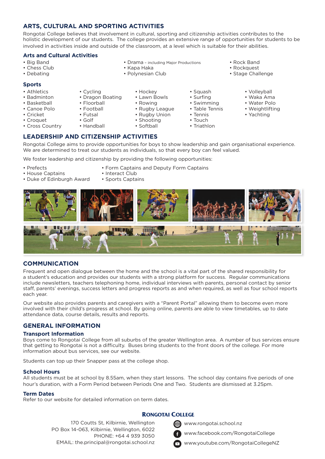#### **ARTS, CULTURAL AND SPORTING ACTIVITIES**

• Cycling

• Floorball • Football • Futsal • Golf • Handball

Rongotai College believes that involvement in cultural, sporting and citizenship activities contributes to the holistic development of our students. The college provides an extensive range of opportunities for students to be involved in activities inside and outside of the classroom, at a level which is suitable for their abilities.

#### **Arts and Cultural Activities**

- Big Band
- Chess Club
- Debating

#### **Sports**

- Athletics
- Badminton
- Basketball
- Canoe Polo
- Cricket
- Croquet
- Cross Country

• Drama – including Major Productions

• Squash • Surfing • Swimming • Table Tennis • Tennis • Touch • Triathlon

- Kapa Haka
- Polynesian Club
- Rock Band
	- Rockquest
	- Stage Challenge

• Dragon Boating • Hockey

- Lawn Bowls
- Rowing
- Rugby League
- Rugby Union
- Shooting
- - Volleyball • Waka Ama
	- Water Polo
	- Weightlifting
	- Yachting

Rongotai College aims to provide opportunities for boys to show leadership and gain organisational experience. We are determined to treat our students as individuals, so that every boy can feel valued.

We foster leadership and citizenship by providing the following opportunities:

- 
- House Captains Interact Club
- Duke of Edinburgh Award Sports Captains
- Prefects • Form Captains and Deputy Form Captains
	-
	-



### **COMMUNICATION**

Frequent and open dialogue between the home and the school is a vital part of the shared responsibility for a student's education and provides our students with a strong platform for success. Regular communications include newsletters, teachers telephoning home, individual interviews with parents, personal contact by senior staff, parents' evenings, success letters and progress reports as and when required, as well as four school reports each year.

Our website also provides parents and caregivers with a "Parent Portal" allowing them to become even more involved with their child's progress at school. By going online, parents are able to view timetables, up to date attendance data, course details, results and reports.

#### **GENERAL INFORMATION**

#### **Transport Information**

Boys come to Rongotai College from all suburbs of the greater Wellington area. A number of bus services ensure that getting to Rongotai is not a difficulty. Buses bring students to the front doors of the college. For more information about bus services, see our website.

Students can top up their Snapper pass at the college shop.

#### **School Hours**

All students must be at school by 8.55am, when they start lessons. The school day contains five periods of one hour's duration, with a Form Period between Periods One and Two. Students are dismissed at 3.25pm.

#### **Term Dates**

Refer to our website for detailed information on term dates.

#### **RONGOTAI COLLEGE**

www.rongotai.school.nz

- www.facebook.com/RongotaiCollege
- PHONE: +64 4 939 3050 EMAIL: the.principal@rongotai.school.nz

PO Box 14-063, Kilbirnie, Wellington, 6022

170 Coutts St, Kilbirnie, Wellington

www.youtube.com/RongotaiCollegeNZ

**LEADERSHIP AND CITIZENSHIP ACTIVITIES** • Softball